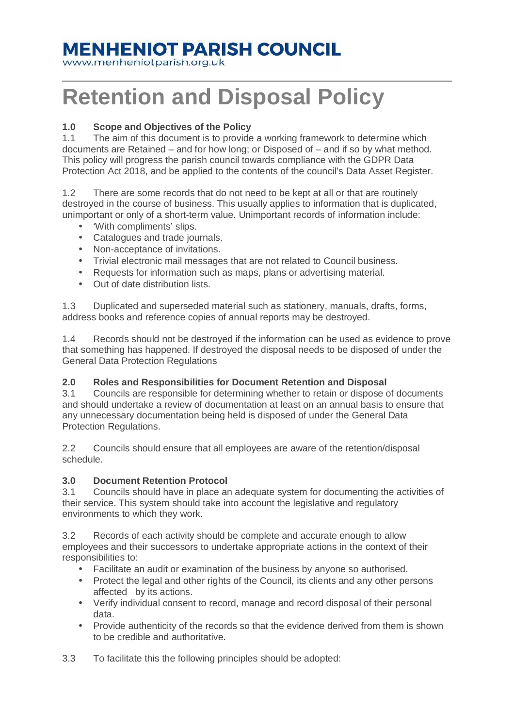### **MENHENIOT PARISH COUNCIL**

www.menheniotparish.org.uk

# **Retention and Disposal Policy**

#### **1.0 Scope and Objectives of the Policy**

1.1 The aim of this document is to provide a working framework to determine which documents are Retained – and for how long; or Disposed of – and if so by what method. This policy will progress the parish council towards compliance with the GDPR Data Protection Act 2018, and be applied to the contents of the council's Data Asset Register.

1.2 There are some records that do not need to be kept at all or that are routinely destroyed in the course of business. This usually applies to information that is duplicated, unimportant or only of a short-term value. Unimportant records of information include:

- 'With compliments' slips.
- Catalogues and trade journals.
- Non-acceptance of invitations.
- Trivial electronic mail messages that are not related to Council business.
- Requests for information such as maps, plans or advertising material.
- Out of date distribution lists.

1.3 Duplicated and superseded material such as stationery, manuals, drafts, forms, address books and reference copies of annual reports may be destroyed.

1.4 Records should not be destroyed if the information can be used as evidence to prove that something has happened. If destroyed the disposal needs to be disposed of under the General Data Protection Regulations

#### **2.0 Roles and Responsibilities for Document Retention and Disposal**

3.1 Councils are responsible for determining whether to retain or dispose of documents and should undertake a review of documentation at least on an annual basis to ensure that any unnecessary documentation being held is disposed of under the General Data Protection Regulations.

2.2 Councils should ensure that all employees are aware of the retention/disposal schedule.

#### **3.0 Document Retention Protocol**

3.1 Councils should have in place an adequate system for documenting the activities of their service. This system should take into account the legislative and regulatory environments to which they work.

3.2 Records of each activity should be complete and accurate enough to allow employees and their successors to undertake appropriate actions in the context of their responsibilities to:

- Facilitate an audit or examination of the business by anyone so authorised.
- Protect the legal and other rights of the Council, its clients and any other persons affected by its actions.
- Verify individual consent to record, manage and record disposal of their personal data.
- Provide authenticity of the records so that the evidence derived from them is shown to be credible and authoritative.

3.3 To facilitate this the following principles should be adopted: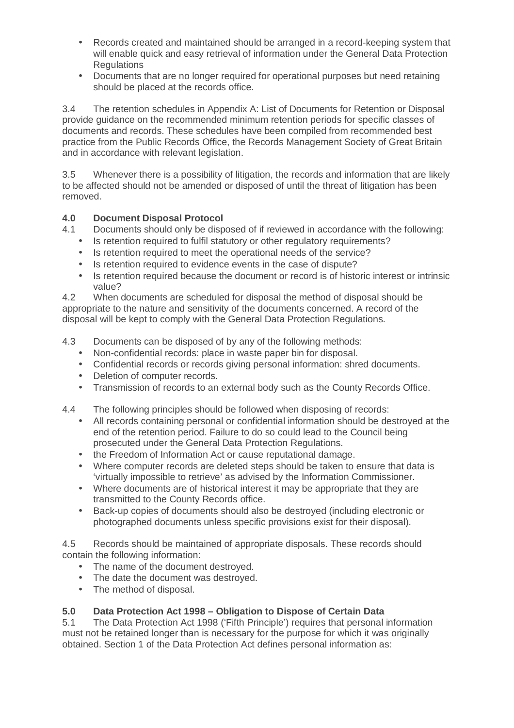- Records created and maintained should be arranged in a record-keeping system that will enable quick and easy retrieval of information under the General Data Protection **Requlations**
- Documents that are no longer required for operational purposes but need retaining should be placed at the records office.

3.4 The retention schedules in Appendix A: List of Documents for Retention or Disposal provide guidance on the recommended minimum retention periods for specific classes of documents and records. These schedules have been compiled from recommended best practice from the Public Records Office, the Records Management Society of Great Britain and in accordance with relevant legislation.

3.5 Whenever there is a possibility of litigation, the records and information that are likely to be affected should not be amended or disposed of until the threat of litigation has been removed.

#### **4.0 Document Disposal Protocol**

4.1 Documents should only be disposed of if reviewed in accordance with the following:

- Is retention required to fulfil statutory or other regulatory requirements?
- Is retention required to meet the operational needs of the service?
- Is retention required to evidence events in the case of dispute?
- Is retention required because the document or record is of historic interest or intrinsic value?

4.2 When documents are scheduled for disposal the method of disposal should be appropriate to the nature and sensitivity of the documents concerned. A record of the disposal will be kept to comply with the General Data Protection Regulations.

4.3 Documents can be disposed of by any of the following methods:

- Non-confidential records: place in waste paper bin for disposal.
- Confidential records or records giving personal information: shred documents.
- Deletion of computer records.
- Transmission of records to an external body such as the County Records Office.
- 4.4 The following principles should be followed when disposing of records:
	- All records containing personal or confidential information should be destroyed at the end of the retention period. Failure to do so could lead to the Council being prosecuted under the General Data Protection Regulations.
	- the Freedom of Information Act or cause reputational damage.
	- Where computer records are deleted steps should be taken to ensure that data is 'virtually impossible to retrieve' as advised by the Information Commissioner.
	- Where documents are of historical interest it may be appropriate that they are transmitted to the County Records office.
	- Back-up copies of documents should also be destroyed (including electronic or photographed documents unless specific provisions exist for their disposal).

4.5 Records should be maintained of appropriate disposals. These records should contain the following information:

- The name of the document destroyed.
- The date the document was destroyed.
- The method of disposal.

#### **5.0 Data Protection Act 1998 – Obligation to Dispose of Certain Data**

5.1 The Data Protection Act 1998 ('Fifth Principle') requires that personal information must not be retained longer than is necessary for the purpose for which it was originally obtained. Section 1 of the Data Protection Act defines personal information as: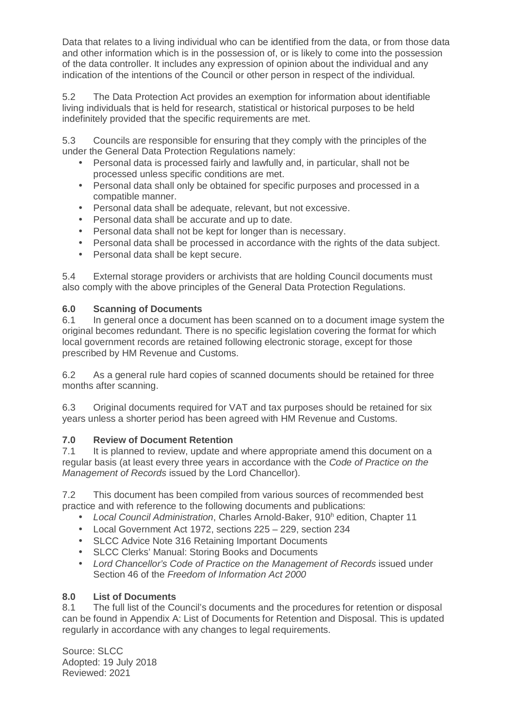Data that relates to a living individual who can be identified from the data, or from those data and other information which is in the possession of, or is likely to come into the possession of the data controller. It includes any expression of opinion about the individual and any indication of the intentions of the Council or other person in respect of the individual.

5.2 The Data Protection Act provides an exemption for information about identifiable living individuals that is held for research, statistical or historical purposes to be held indefinitely provided that the specific requirements are met.

5.3 Councils are responsible for ensuring that they comply with the principles of the under the General Data Protection Regulations namely:

- Personal data is processed fairly and lawfully and, in particular, shall not be processed unless specific conditions are met.
- Personal data shall only be obtained for specific purposes and processed in a compatible manner.
- Personal data shall be adequate, relevant, but not excessive.
- Personal data shall be accurate and up to date.
- Personal data shall not be kept for longer than is necessary.
- Personal data shall be processed in accordance with the rights of the data subject.
- Personal data shall be kept secure.

5.4 External storage providers or archivists that are holding Council documents must also comply with the above principles of the General Data Protection Regulations.

#### **6.0 Scanning of Documents**

6.1 In general once a document has been scanned on to a document image system the original becomes redundant. There is no specific legislation covering the format for which local government records are retained following electronic storage, except for those prescribed by HM Revenue and Customs.

6.2 As a general rule hard copies of scanned documents should be retained for three months after scanning.

6.3 Original documents required for VAT and tax purposes should be retained for six years unless a shorter period has been agreed with HM Revenue and Customs.

#### **7.0 Review of Document Retention**

7.1 It is planned to review, update and where appropriate amend this document on a regular basis (at least every three years in accordance with the Code of Practice on the Management of Records issued by the Lord Chancellor).

7.2 This document has been compiled from various sources of recommended best practice and with reference to the following documents and publications:

- Local Council Administration, Charles Arnold-Baker, 910<sup>h</sup> edition, Chapter 11
- Local Government Act 1972, sections 225 229, section 234
- SLCC Advice Note 316 Retaining Important Documents
- SLCC Clerks' Manual: Storing Books and Documents
- Lord Chancellor's Code of Practice on the Management of Records issued under Section 46 of the Freedom of Information Act 2000

#### **8.0 List of Documents**

8.1 The full list of the Council's documents and the procedures for retention or disposal can be found in Appendix A: List of Documents for Retention and Disposal. This is updated regularly in accordance with any changes to legal requirements.

Source: SLCC Adopted: 19 July 2018 Reviewed: 2021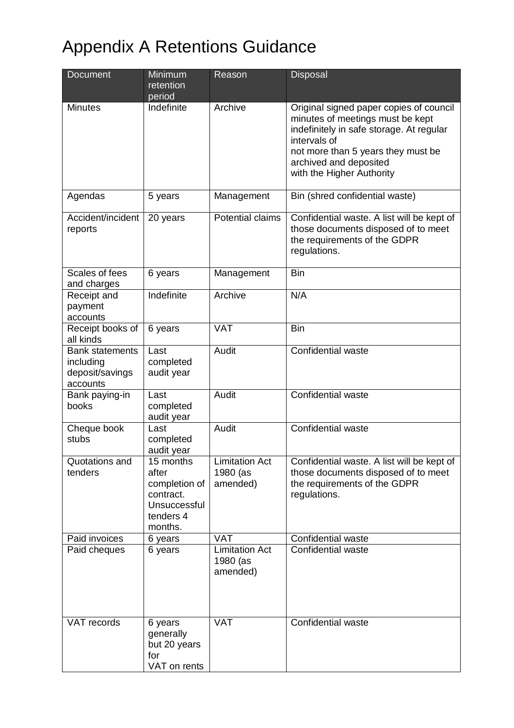## Appendix A Retentions Guidance

| Document                                                           | Minimum<br>retention<br>period                                                           | Reason                                        | <b>Disposal</b>                                                                                                                                                                                                                      |
|--------------------------------------------------------------------|------------------------------------------------------------------------------------------|-----------------------------------------------|--------------------------------------------------------------------------------------------------------------------------------------------------------------------------------------------------------------------------------------|
| Minutes                                                            | Indefinite                                                                               | Archive                                       | Original signed paper copies of council<br>minutes of meetings must be kept<br>indefinitely in safe storage. At regular<br>intervals of<br>not more than 5 years they must be<br>archived and deposited<br>with the Higher Authority |
| Agendas                                                            | 5 years                                                                                  | Management                                    | Bin (shred confidential waste)                                                                                                                                                                                                       |
| Accident/incident<br>reports                                       | 20 years                                                                                 | Potential claims                              | Confidential waste. A list will be kept of<br>those documents disposed of to meet<br>the requirements of the GDPR<br>regulations.                                                                                                    |
| Scales of fees<br>and charges                                      | 6 years                                                                                  | Management                                    | <b>Bin</b>                                                                                                                                                                                                                           |
| Receipt and<br>payment<br>accounts                                 | Indefinite                                                                               | Archive                                       | N/A                                                                                                                                                                                                                                  |
| Receipt books of<br>all kinds                                      | 6 years                                                                                  | <b>VAT</b>                                    | <b>Bin</b>                                                                                                                                                                                                                           |
| <b>Bank statements</b><br>including<br>deposit/savings<br>accounts | Last<br>completed<br>audit year                                                          | Audit                                         | Confidential waste                                                                                                                                                                                                                   |
| Bank paying-in<br>books                                            | Last<br>completed<br>audit year                                                          | Audit                                         | <b>Confidential waste</b>                                                                                                                                                                                                            |
| Cheque book<br>stubs                                               | Last<br>completed<br>audit year                                                          | Audit                                         | Confidential waste                                                                                                                                                                                                                   |
| Quotations and<br>tenders                                          | 15 months<br>after<br>completion of<br>contract.<br>Unsuccessful<br>tenders 4<br>months. | <b>Limitation Act</b><br>1980 (as<br>amended) | Confidential waste. A list will be kept of<br>those documents disposed of to meet<br>the requirements of the GDPR<br>regulations.                                                                                                    |
| Paid invoices                                                      | 6 years                                                                                  | <b>VAT</b>                                    | Confidential waste                                                                                                                                                                                                                   |
| Paid cheques                                                       | 6 years                                                                                  | <b>Limitation Act</b><br>1980 (as<br>amended) | Confidential waste                                                                                                                                                                                                                   |
| VAT records                                                        | 6 years<br>generally<br>but 20 years<br>for<br>VAT on rents                              | <b>VAT</b>                                    | Confidential waste                                                                                                                                                                                                                   |